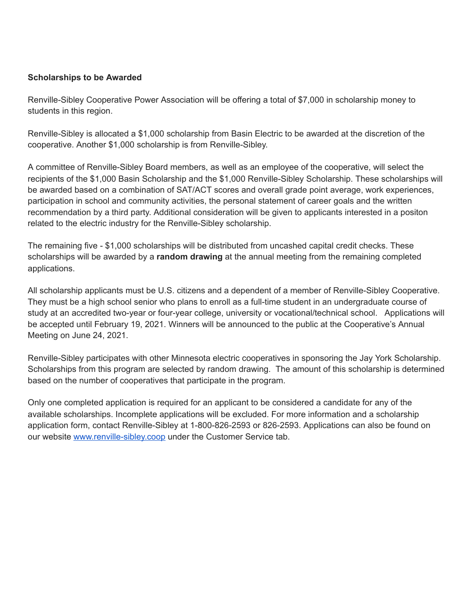#### **Scholarships to be Awarded**

Renville-Sibley Cooperative Power Association will be offering a total of \$7,000 in scholarship money to students in this region.

Renville-Sibley is allocated a \$1,000 scholarship from Basin Electric to be awarded at the discretion of the cooperative. Another \$1,000 scholarship is from Renville-Sibley.

A committee of Renville-Sibley Board members, as well as an employee of the cooperative, will select the recipients of the \$1,000 Basin Scholarship and the \$1,000 Renville-Sibley Scholarship. These scholarships will be awarded based on a combination of SAT/ACT scores and overall grade point average, work experiences, participation in school and community activities, the personal statement of career goals and the written recommendation by a third party. Additional consideration will be given to applicants interested in a positon related to the electric industry for the Renville-Sibley scholarship.

The remaining five - \$1,000 scholarships will be distributed from uncashed capital credit checks. These scholarships will be awarded by a **random drawing** at the annual meeting from the remaining completed applications.

All scholarship applicants must be U.S. citizens and a dependent of a member of Renville-Sibley Cooperative. They must be a high school senior who plans to enroll as a full-time student in an undergraduate course of study at an accredited two-year or four-year college, university or vocational/technical school. Applications will be accepted until February 19, 2021. Winners will be announced to the public at the Cooperative's Annual Meeting on June 24, 2021.

Renville-Sibley participates with other Minnesota electric cooperatives in sponsoring the Jay York Scholarship. Scholarships from this program are selected by random drawing. The amount of this scholarship is determined based on the number of cooperatives that participate in the program.

Only one completed application is required for an applicant to be considered a candidate for any of the available scholarships. Incomplete applications will be excluded. For more information and a scholarship application form, contact Renville-Sibley at 1-800-826-2593 or 826-2593. Applications can also be found on our website www.renville-sibley.coop under the Customer Service tab.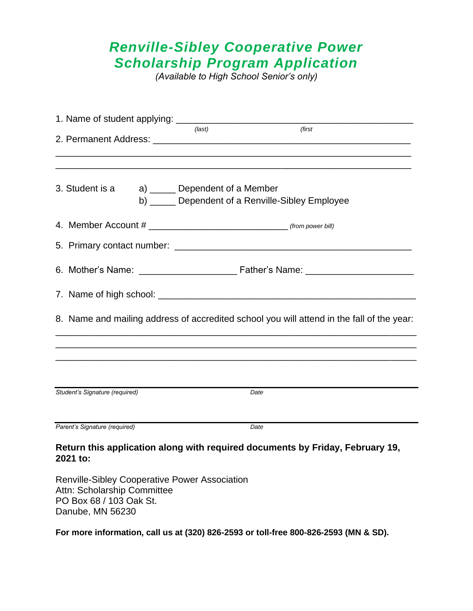### *Renville-Sibley Cooperative Power Scholarship Program Application*

*(Available to High School Senior's only)*

|                                                 | $$ (last) | (first                                                                                    |  |
|-------------------------------------------------|-----------|-------------------------------------------------------------------------------------------|--|
| 3. Student is a a) ______ Dependent of a Member |           | b) _____ Dependent of a Renville-Sibley Employee                                          |  |
|                                                 |           |                                                                                           |  |
|                                                 |           |                                                                                           |  |
|                                                 |           |                                                                                           |  |
|                                                 |           |                                                                                           |  |
|                                                 |           | 8. Name and mailing address of accredited school you will attend in the fall of the year: |  |
|                                                 |           |                                                                                           |  |
| Student's Signature (required)                  |           | Date                                                                                      |  |
| Parent's Signature (required)                   |           | Date                                                                                      |  |
| 2021 to:                                        |           | Return this application along with required documents by Friday, February 19,             |  |

Renville-Sibley Cooperative Power Association Attn: Scholarship Committee PO Box 68 / 103 Oak St. Danube, MN 56230

**For more information, call us at (320) 826-2593 or toll-free 800-826-2593 (MN & SD).**